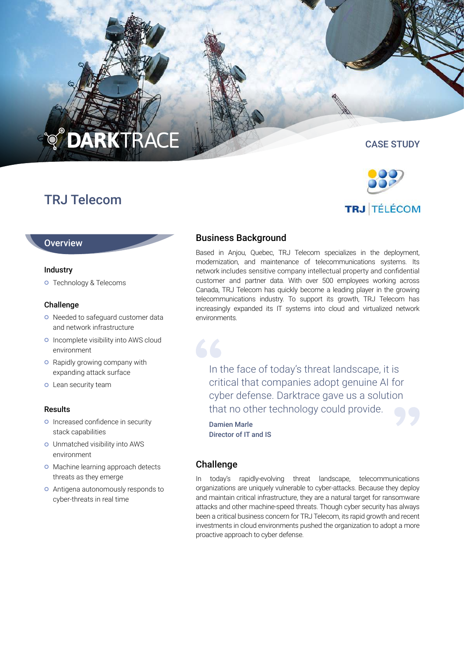# **O DARKTRACE**

# TRJ Telecom

# CASE STUDY



# **Overview**

#### Industry

Technology & Telecoms

#### Challenge

- o Needed to safeguard customer data and network infrastructure
- o Incomplete visibility into AWS cloud environment
- **o** Rapidly growing company with expanding attack surface
- **o** Lean security team

#### Results

- o Increased confidence in security stack capabilities
- Unmatched visibility into AWS environment
- o Machine learning approach detects threats as they emerge
- Antigena autonomously responds to cyber-threats in real time

# Business Background

Based in Anjou, Quebec, TRJ Telecom specializes in the deployment, modernization, and maintenance of telecommunications systems. Its network includes sensitive company intellectual property and confidential customer and partner data. With over 500 employees working across Canada, TRJ Telecom has quickly become a leading player in the growing telecommunications industry. To support its growth, TRJ Telecom has increasingly expanded its IT systems into cloud and virtualized network environments.

In the face of today's threat landscape, it is critical that companies adopt genuine AI for cyber defense. Darktrace gave us a solution that no other technology could provide.

Damien Marle Director of IT and IS

# Challenge

In today's rapidly-evolving threat landscape, telecommunications organizations are uniquely vulnerable to cyber-attacks. Because they deploy and maintain critical infrastructure, they are a natural target for ransomware attacks and other machine-speed threats. Though cyber security has always been a critical business concern for TRJ Telecom, its rapid growth and recent investments in cloud environments pushed the organization to adopt a more proactive approach to cyber defense.